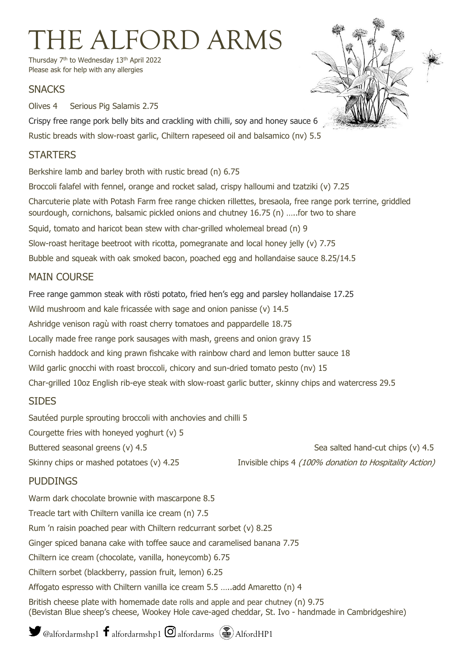# THE ALFORD ARMS

Thursday 7<sup>th</sup> to Wednesday 13<sup>th</sup> April 2022 Please ask for help with any allergies

#### **SNACKS**

Olives 4 Serious Pig Salamis 2.75

Crispy free range pork belly bits and crackling with chilli, soy and honey sauce 6 Rustic breads with slow-roast garlic, Chiltern rapeseed oil and balsamico (nv) 5.5

### **STARTFRS**

Berkshire lamb and barley broth with rustic bread (n) 6.75 Broccoli falafel with fennel, orange and rocket salad, crispy halloumi and tzatziki (v) 7.25 Charcuterie plate with Potash Farm free range chicken rillettes, bresaola, free range pork terrine, griddled sourdough, cornichons, balsamic pickled onions and chutney 16.75 (n) …..for two to share Squid, tomato and haricot bean stew with char-grilled wholemeal bread (n) 9 Slow-roast heritage beetroot with ricotta, pomegranate and local honey jelly (v) 7.75 Bubble and squeak with oak smoked bacon, poached egg and hollandaise sauce 8.25/14.5

### MAIN COURSE

Free range gammon steak with rösti potato, fried hen's egg and parsley hollandaise 17.25 Wild mushroom and kale fricassée with sage and onion panisse (v) 14.5 Ashridge venison ragù with roast cherry tomatoes and pappardelle 18.75 Locally made free range pork sausages with mash, greens and onion gravy 15 Cornish haddock and king prawn fishcake with rainbow chard and lemon butter sauce 18 Wild garlic gnocchi with roast broccoli, chicory and sun-dried tomato pesto (nv) 15 Char-grilled 10oz English rib-eye steak with slow-roast garlic butter, skinny chips and watercress 29.5

#### SIDES

Sautéed purple sprouting broccoli with anchovies and chilli 5

Courgette fries with honeyed yoghurt (v) 5

Buttered seasonal greens (v) 4.5 Sea salted hand-cut chips (v) 4.5

Skinny chips or mashed potatoes (v) 4.25 Invisible chips 4 (100% donation to Hospitality Action)

## **PUDDINGS**

Warm dark chocolate brownie with mascarpone 8.5 Treacle tart with Chiltern vanilla ice cream (n) 7.5 Rum 'n raisin poached pear with Chiltern redcurrant sorbet (v) 8.25 Ginger spiced banana cake with toffee sauce and caramelised banana 7.75 Chiltern ice cream (chocolate, vanilla, honeycomb) 6.75 Chiltern sorbet (blackberry, passion fruit, lemon) 6.25 Affogato espresso with Chiltern vanilla ice cream 5.5 …..add Amaretto (n) 4 British cheese plate with homemade date rolls and apple and pear chutney (n) 9.75

(Bevistan Blue sheep's cheese, Wookey Hole cave-aged cheddar, St. Ivo - handmade in Cambridgeshire)